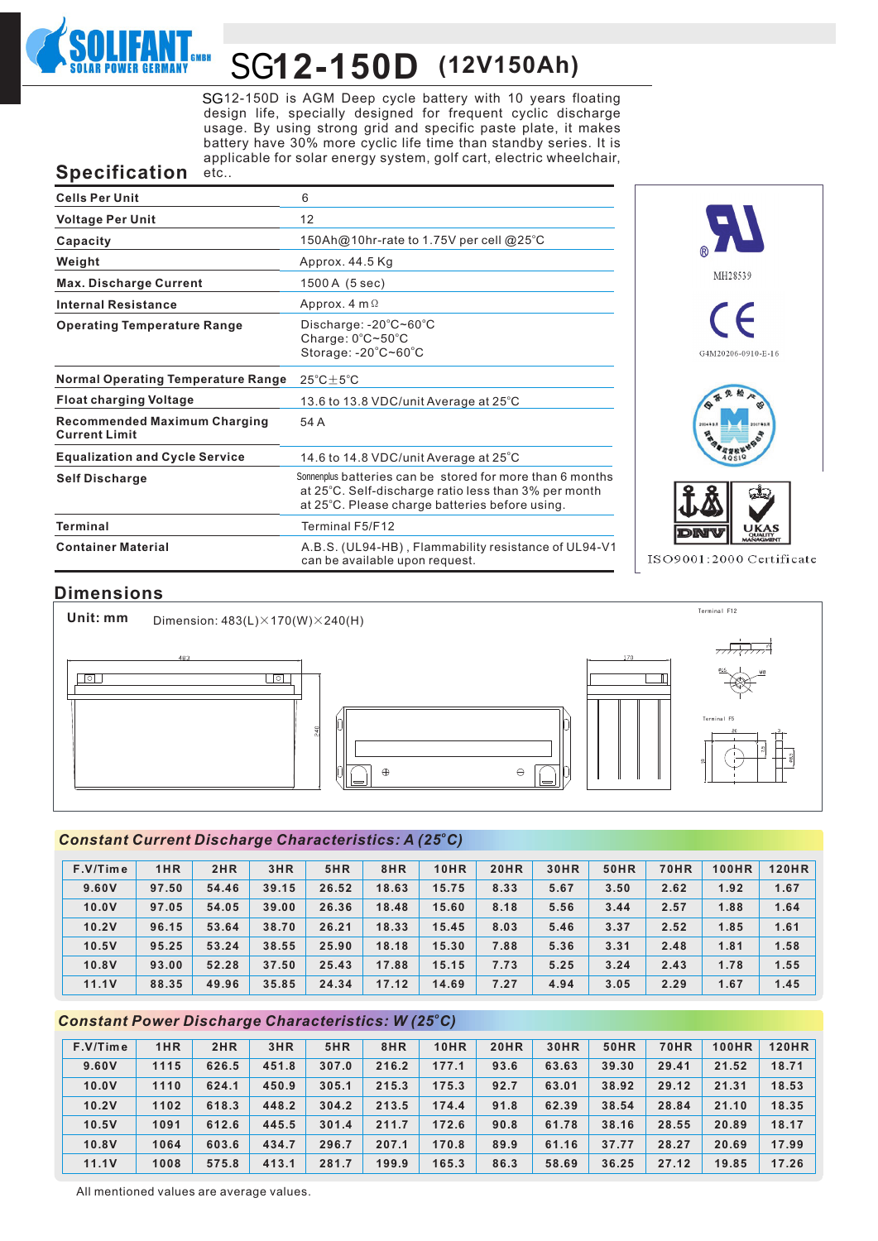

# **12-150D (12V150Ah)** SG

SG12-150D is AGM Deep cycle battery with 10 years floating design life, specially designed for frequent cyclic discharge usage. By using strong grid and specific paste plate, it makes battery have 30% more cyclic life time than standby series. It is applicable for solar energy system, golf cart, electric wheelchair, etc..

## **Specification**

| <b>Cells Per Unit</b>                                       | 6                                                                                                                                                                   |
|-------------------------------------------------------------|---------------------------------------------------------------------------------------------------------------------------------------------------------------------|
| <b>Voltage Per Unit</b>                                     | 12                                                                                                                                                                  |
| Capacity                                                    | 150Ah@10hr-rate to 1.75V per cell @25°C                                                                                                                             |
| Weight                                                      | Approx. 44.5 Kg                                                                                                                                                     |
| <b>Max. Discharge Current</b>                               | 1500 A (5 sec)                                                                                                                                                      |
| <b>Internal Resistance</b>                                  | Approx. $4 \text{ m } \Omega$                                                                                                                                       |
| <b>Operating Temperature Range</b>                          | Discharge: $-20^{\circ}$ C $\sim$ 60 $^{\circ}$ C<br>Charge: $0^{\circ}$ C $\sim$ 50 $^{\circ}$ C<br>Storage: -20°C~60°C                                            |
| <b>Normal Operating Temperature Range</b>                   | $25^{\circ}$ C $\pm$ 5 $^{\circ}$ C                                                                                                                                 |
| <b>Float charging Voltage</b>                               | 13.6 to 13.8 VDC/unit Average at 25°C                                                                                                                               |
| <b>Recommended Maximum Charging</b><br><b>Current Limit</b> | 54 A                                                                                                                                                                |
| <b>Equalization and Cycle Service</b>                       | 14.6 to 14.8 VDC/unit Average at $25^{\circ}$ C                                                                                                                     |
| <b>Self Discharge</b>                                       | Sonnenplus batteries can be stored for more than 6 months<br>at 25°C. Self-discharge ratio less than 3% per month<br>at 25°C. Please charge batteries before using. |
| <b>Terminal</b>                                             | Terminal F5/F12                                                                                                                                                     |
| <b>Container Material</b>                                   | A.B.S. (UL94-HB), Flammability resistance of UL94-V1<br>can be available upon request.                                                                              |



ISO9001:2000 Certificate

## **Dimensions**

Terminal F12 **Unit: mm** Dimension:  $483(L) \times 170(W) \times 240(H)$  $\Box$  $\Box$ Terminal F5  $\oplus$  $\Theta$ 

#### *<sup>o</sup> Constant Current Discharge Characteristics: A (25 C)*

| $F.V/T$ ime | 1HR   | 2HR   | 3HR   | 5HR   | 8HR   | <b>10HR</b> | <b>20HR</b> | <b>30HR</b> | 50HR | <b>70HR</b> | <b>100HR</b> | <b>120HR</b> |
|-------------|-------|-------|-------|-------|-------|-------------|-------------|-------------|------|-------------|--------------|--------------|
| 9.60V       | 97.50 | 54.46 | 39.15 | 26.52 | 18.63 | 15.75       | 8.33        | 5.67        | 3.50 | 2.62        | 1.92         | 1.67         |
| 10.0V       | 97.05 | 54.05 | 39.00 | 26.36 | 18.48 | 15.60       | 8.18        | 5.56        | 3.44 | 2.57        | 1.88         | 1.64         |
| 10.2V       | 96.15 | 53.64 | 38.70 | 26.21 | 18.33 | 15.45       | 8.03        | 5.46        | 3.37 | 2.52        | 1.85         | 1.61         |
| 10.5V       | 95.25 | 53.24 | 38.55 | 25.90 | 18.18 | 15.30       | 7.88        | 5.36        | 3.31 | 2.48        | 1.81         | 1.58         |
| 10.8V       | 93.00 | 52.28 | 37.50 | 25.43 | 17.88 | 15.15       | 7.73        | 5.25        | 3.24 | 2.43        | 1.78         | 1.55         |
| 11.1V       | 88.35 | 49.96 | 35.85 | 24.34 | 17.12 | 14.69       | 7.27        | 4.94        | 3.05 | 2.29        | 1.67         | 1.45         |

#### *<sup>o</sup> Constant Power Discharge Characteristics: W (25 C)*

| F.V/Time | 1HR  | 2HR   | 3HR   | 5HR   | 8HR   | <b>10HR</b> | <b>20HR</b> | <b>30HR</b> | <b>50HR</b> | <b>70HR</b> | <b>100HR</b> | <b>120HR</b> |
|----------|------|-------|-------|-------|-------|-------------|-------------|-------------|-------------|-------------|--------------|--------------|
| 9.60V    | 1115 | 626.5 | 451.8 | 307.0 | 216.2 | 177.1       | 93.6        | 63.63       | 39.30       | 29.41       | 21.52        | 18.71        |
| 10.0V    | 1110 | 624.1 | 450.9 | 305.1 | 215.3 | 175.3       | 92.7        | 63.01       | 38.92       | 29.12       | 21.31        | 18.53        |
| 10.2V    | 1102 | 618.3 | 448.2 | 304.2 | 213.5 | 174.4       | 91.8        | 62.39       | 38.54       | 28.84       | 21.10        | 18.35        |
| 10.5V    | 1091 | 612.6 | 445.5 | 301.4 | 211.7 | 172.6       | 90.8        | 61.78       | 38.16       | 28.55       | 20.89        | 18.17        |
| 10.8V    | 1064 | 603.6 | 434.7 | 296.7 | 207.1 | 170.8       | 89.9        | 61.16       | 37.77       | 28.27       | 20.69        | 17.99        |
| 11.1V    | 1008 | 575.8 | 413.1 | 281.7 | 199.9 | 165.3       | 86.3        | 58.69       | 36.25       | 27.12       | 19.85        | 17.26        |

All mentioned values are average values.